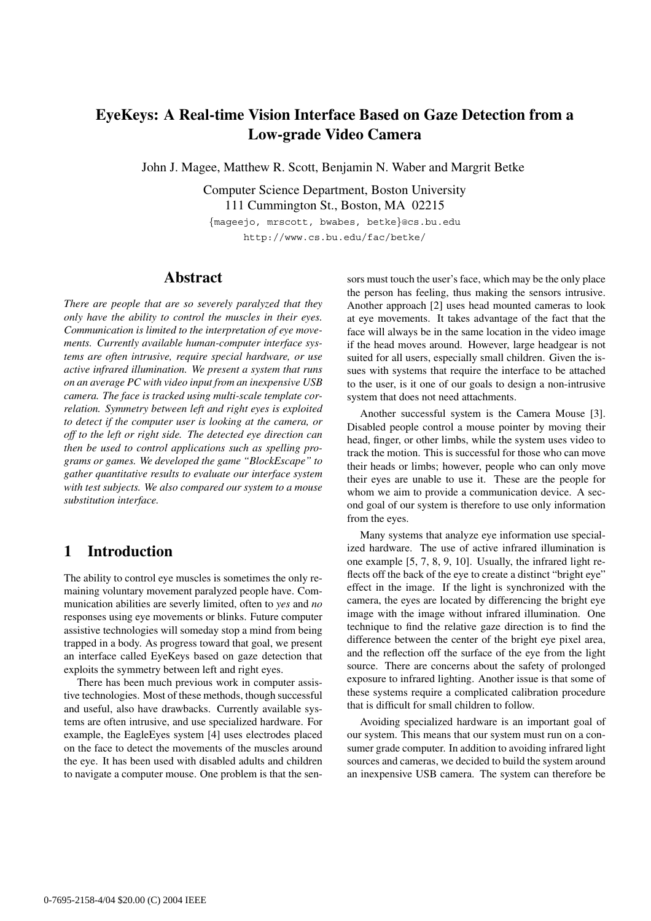# **EyeKeys: A Real-time Vision Interface Based on Gaze Detection from a Low-grade Video Camera**

John J. Magee, Matthew R. Scott, Benjamin N. Waber and Margrit Betke

Computer Science Department, Boston University 111 Cummington St., Boston, MA 02215

*{*mageejo, mrscott, bwabes, betke*}*@cs.bu.edu http://www.cs.bu.edu/fac/betke/

### **Abstract**

*There are people that are so severely paralyzed that they only have the ability to control the muscles in their eyes. Communication is limited to the interpretation of eye movements. Currently available human-computer interface systems are often intrusive, require special hardware, or use active infrared illumination. We present a system that runs on an average PC with video input from an inexpensive USB camera. The face is tracked using multi-scale template correlation. Symmetry between left and right eyes is exploited to detect if the computer user is looking at the camera, or off to the left or right side. The detected eye direction can then be used to control applications such as spelling programs or games. We developed the game "BlockEscape" to gather quantitative results to evaluate our interface system with test subjects. We also compared our system to a mouse substitution interface.*

## **1 Introduction**

The ability to control eye muscles is sometimes the only remaining voluntary movement paralyzed people have. Communication abilities are severly limited, often to *yes* and *no* responses using eye movements or blinks. Future computer assistive technologies will someday stop a mind from being trapped in a body. As progress toward that goal, we present an interface called EyeKeys based on gaze detection that exploits the symmetry between left and right eyes.

There has been much previous work in computer assistive technologies. Most of these methods, though successful and useful, also have drawbacks. Currently available systems are often intrusive, and use specialized hardware. For example, the EagleEyes system [4] uses electrodes placed on the face to detect the movements of the muscles around the eye. It has been used with disabled adults and children to navigate a computer mouse. One problem is that the sensors must touch the user's face, which may be the only place the person has feeling, thus making the sensors intrusive. Another approach [2] uses head mounted cameras to look at eye movements. It takes advantage of the fact that the face will always be in the same location in the video image if the head moves around. However, large headgear is not suited for all users, especially small children. Given the issues with systems that require the interface to be attached to the user, is it one of our goals to design a non-intrusive system that does not need attachments.

Another successful system is the Camera Mouse [3]. Disabled people control a mouse pointer by moving their head, finger, or other limbs, while the system uses video to track the motion. This is successful for those who can move their heads or limbs; however, people who can only move their eyes are unable to use it. These are the people for whom we aim to provide a communication device. A second goal of our system is therefore to use only information from the eyes.

Many systems that analyze eye information use specialized hardware. The use of active infrared illumination is one example [5, 7, 8, 9, 10]. Usually, the infrared light reflects off the back of the eye to create a distinct "bright eye" effect in the image. If the light is synchronized with the camera, the eyes are located by differencing the bright eye image with the image without infrared illumination. One technique to find the relative gaze direction is to find the difference between the center of the bright eye pixel area, and the reflection off the surface of the eye from the light source. There are concerns about the safety of prolonged exposure to infrared lighting. Another issue is that some of these systems require a complicated calibration procedure that is difficult for small children to follow.

Avoiding specialized hardware is an important goal of our system. This means that our system must run on a consumer grade computer. In addition to avoiding infrared light sources and cameras, we decided to build the system around an inexpensive USB camera. The system can therefore be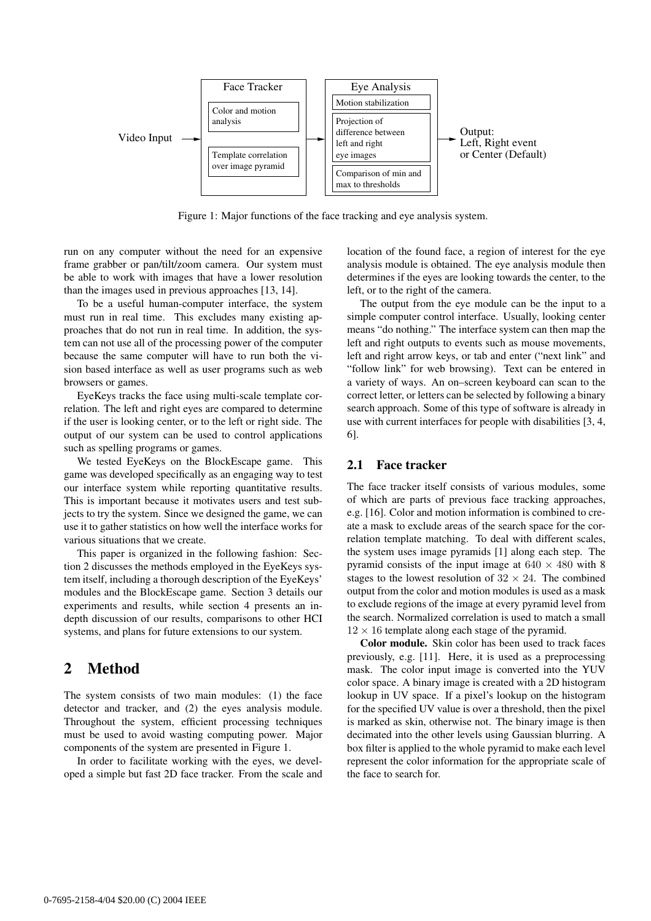

Figure 1: Major functions of the face tracking and eye analysis system.

run on any computer without the need for an expensive frame grabber or pan/tilt/zoom camera. Our system must be able to work with images that have a lower resolution than the images used in previous approaches [13, 14].

To be a useful human-computer interface, the system must run in real time. This excludes many existing approaches that do not run in real time. In addition, the system can not use all of the processing power of the computer because the same computer will have to run both the vision based interface as well as user programs such as web browsers or games.

EyeKeys tracks the face using multi-scale template correlation. The left and right eyes are compared to determine if the user is looking center, or to the left or right side. The output of our system can be used to control applications such as spelling programs or games.

We tested EyeKeys on the BlockEscape game. This game was developed specifically as an engaging way to test our interface system while reporting quantitative results. This is important because it motivates users and test subjects to try the system. Since we designed the game, we can use it to gather statistics on how well the interface works for various situations that we create.

This paper is organized in the following fashion: Section 2 discusses the methods employed in the EyeKeys system itself, including a thorough description of the EyeKeys' modules and the BlockEscape game. Section 3 details our experiments and results, while section 4 presents an indepth discussion of our results, comparisons to other HCI systems, and plans for future extensions to our system.

## **2 Method**

The system consists of two main modules: (1) the face detector and tracker, and (2) the eyes analysis module. Throughout the system, efficient processing techniques must be used to avoid wasting computing power. Major components of the system are presented in Figure 1.

In order to facilitate working with the eyes, we developed a simple but fast 2D face tracker. From the scale and location of the found face, a region of interest for the eye analysis module is obtained. The eye analysis module then determines if the eyes are looking towards the center, to the left, or to the right of the camera.

The output from the eye module can be the input to a simple computer control interface. Usually, looking center means "do nothing." The interface system can then map the left and right outputs to events such as mouse movements, left and right arrow keys, or tab and enter ("next link" and "follow link" for web browsing). Text can be entered in a variety of ways. An on–screen keyboard can scan to the correct letter, or letters can be selected by following a binary search approach. Some of this type of software is already in use with current interfaces for people with disabilities [3, 4, 6].

#### **2.1 Face tracker**

The face tracker itself consists of various modules, some of which are parts of previous face tracking approaches, e.g. [16]. Color and motion information is combined to create a mask to exclude areas of the search space for the correlation template matching. To deal with different scales, the system uses image pyramids [1] along each step. The pyramid consists of the input image at  $640 \times 480$  with 8 stages to the lowest resolution of  $32 \times 24$ . The combined output from the color and motion modules is used as a mask to exclude regions of the image at every pyramid level from the search. Normalized correlation is used to match a small  $12 \times 16$  template along each stage of the pyramid.

**Color module.** Skin color has been used to track faces previously, e.g. [11]. Here, it is used as a preprocessing mask. The color input image is converted into the YUV color space. A binary image is created with a 2D histogram lookup in UV space. If a pixel's lookup on the histogram for the specified UV value is over a threshold, then the pixel is marked as skin, otherwise not. The binary image is then decimated into the other levels using Gaussian blurring. A box filter is applied to the whole pyramid to make each level represent the color information for the appropriate scale of the face to search for.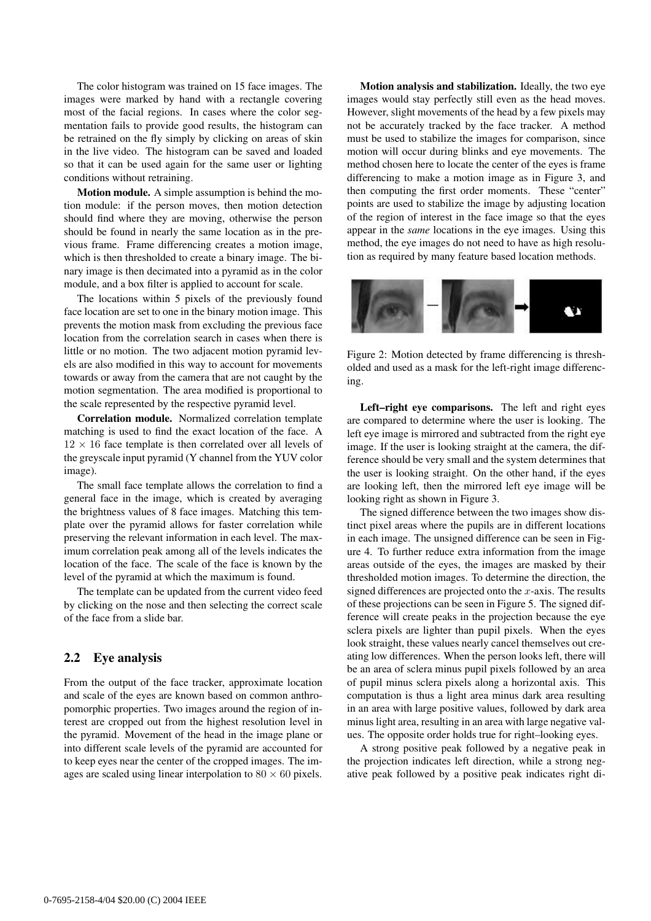The color histogram was trained on 15 face images. The images were marked by hand with a rectangle covering most of the facial regions. In cases where the color segmentation fails to provide good results, the histogram can be retrained on the fly simply by clicking on areas of skin in the live video. The histogram can be saved and loaded so that it can be used again for the same user or lighting conditions without retraining.

**Motion module.** A simple assumption is behind the motion module: if the person moves, then motion detection should find where they are moving, otherwise the person should be found in nearly the same location as in the previous frame. Frame differencing creates a motion image, which is then thresholded to create a binary image. The binary image is then decimated into a pyramid as in the color module, and a box filter is applied to account for scale.

The locations within 5 pixels of the previously found face location are set to one in the binary motion image. This prevents the motion mask from excluding the previous face location from the correlation search in cases when there is little or no motion. The two adjacent motion pyramid levels are also modified in this way to account for movements towards or away from the camera that are not caught by the motion segmentation. The area modified is proportional to the scale represented by the respective pyramid level.

**Correlation module.** Normalized correlation template matching is used to find the exact location of the face. A  $12 \times 16$  face template is then correlated over all levels of the greyscale input pyramid (Y channel from the YUV color image).

The small face template allows the correlation to find a general face in the image, which is created by averaging the brightness values of 8 face images. Matching this template over the pyramid allows for faster correlation while preserving the relevant information in each level. The maximum correlation peak among all of the levels indicates the location of the face. The scale of the face is known by the level of the pyramid at which the maximum is found.

The template can be updated from the current video feed by clicking on the nose and then selecting the correct scale of the face from a slide bar.

### **2.2 Eye analysis**

From the output of the face tracker, approximate location and scale of the eyes are known based on common anthropomorphic properties. Two images around the region of interest are cropped out from the highest resolution level in the pyramid. Movement of the head in the image plane or into different scale levels of the pyramid are accounted for to keep eyes near the center of the cropped images. The images are scaled using linear interpolation to  $80 \times 60$  pixels.

**Motion analysis and stabilization.** Ideally, the two eye images would stay perfectly still even as the head moves. However, slight movements of the head by a few pixels may not be accurately tracked by the face tracker. A method must be used to stabilize the images for comparison, since motion will occur during blinks and eye movements. The method chosen here to locate the center of the eyes is frame differencing to make a motion image as in Figure 3, and then computing the first order moments. These "center" points are used to stabilize the image by adjusting location of the region of interest in the face image so that the eyes appear in the *same* locations in the eye images. Using this method, the eye images do not need to have as high resolution as required by many feature based location methods.



Figure 2: Motion detected by frame differencing is thresholded and used as a mask for the left-right image differencing.

**Left–right eye comparisons.** The left and right eyes are compared to determine where the user is looking. The left eye image is mirrored and subtracted from the right eye image. If the user is looking straight at the camera, the difference should be very small and the system determines that the user is looking straight. On the other hand, if the eyes are looking left, then the mirrored left eye image will be looking right as shown in Figure 3.

The signed difference between the two images show distinct pixel areas where the pupils are in different locations in each image. The unsigned difference can be seen in Figure 4. To further reduce extra information from the image areas outside of the eyes, the images are masked by their thresholded motion images. To determine the direction, the signed differences are projected onto the  $x$ -axis. The results of these projections can be seen in Figure 5. The signed difference will create peaks in the projection because the eye sclera pixels are lighter than pupil pixels. When the eyes look straight, these values nearly cancel themselves out creating low differences. When the person looks left, there will be an area of sclera minus pupil pixels followed by an area of pupil minus sclera pixels along a horizontal axis. This computation is thus a light area minus dark area resulting in an area with large positive values, followed by dark area minus light area, resulting in an area with large negative values. The opposite order holds true for right–looking eyes.

A strong positive peak followed by a negative peak in the projection indicates left direction, while a strong negative peak followed by a positive peak indicates right di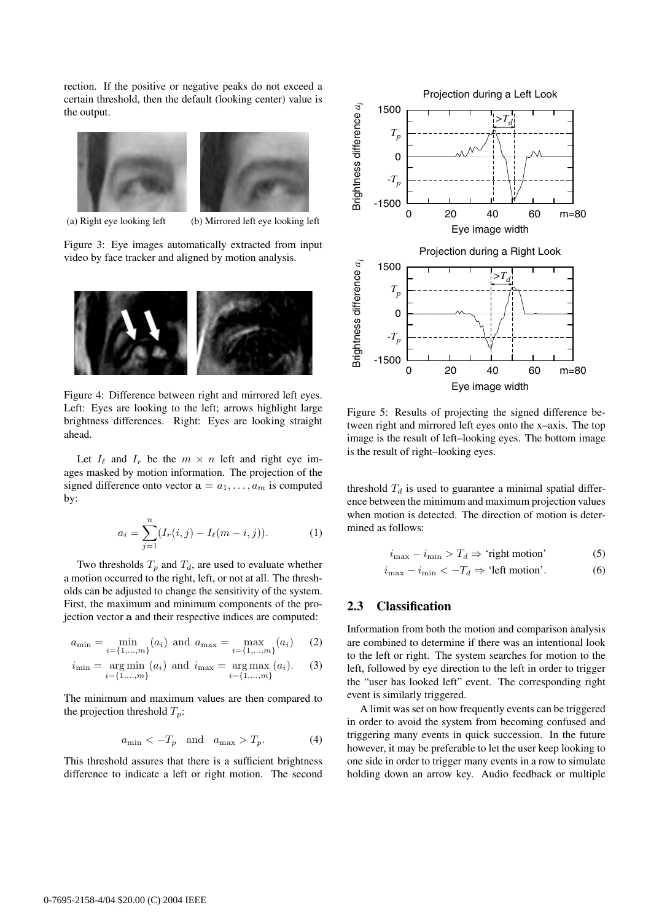rection. If the positive or negative peaks do not exceed a certain threshold, then the default (looking center) value is the output.



(a) Right eye looking left (b) Mirrored left eye looking left

Figure 3: Eye images automatically extracted from input video by face tracker and aligned by motion analysis.



Figure 4: Difference between right and mirrored left eyes. Left: Eyes are looking to the left; arrows highlight large brightness differences. Right: Eyes are looking straight ahead.

Let  $I_{\ell}$  and  $I_{r}$  be the  $m \times n$  left and right eye images masked by motion information. The projection of the signed difference onto vector  $\mathbf{a} = a_1, \dots, a_m$  is computed by:

$$
a_i = \sum_{j=1}^{n} (I_r(i,j) - I_\ell(m-i,j)).
$$
 (1)

Two thresholds  $T_p$  and  $T_d$ , are used to evaluate whether a motion occurred to the right, left, or not at all. The thresholds can be adjusted to change the sensitivity of the system. First, the maximum and minimum components of the projection vector **a** and their respective indices are computed:

$$
a_{\min} = \min_{i=\{1,\dots,m\}} (a_i) \text{ and } a_{\max} = \max_{i=\{1,\dots,m\}} (a_i) \quad (2)
$$

$$
i_{\min} = \underset{i=\{1,\dots,m\}}{\arg \min} (a_i) \text{ and } i_{\max} = \underset{i=\{1,\dots,m\}}{\arg \max} (a_i). \tag{3}
$$

The minimum and maximum values are then compared to the projection threshold  $T_p$ :

$$
a_{\min} < -T_p \quad \text{and} \quad a_{\max} > T_p. \tag{4}
$$

This threshold assures that there is a sufficient brightness difference to indicate a left or right motion. The second



Figure 5: Results of projecting the signed difference between right and mirrored left eyes onto the x–axis. The top image is the result of left–looking eyes. The bottom image is the result of right–looking eyes.

threshold  $T_d$  is used to guarantee a minimal spatial difference between the minimum and maximum projection values when motion is detected. The direction of motion is determined as follows:

$$
i_{\max} - i_{\min} > T_d \Rightarrow 'right motion' \tag{5}
$$

$$
i_{\max} - i_{\min} < -T_d \Rightarrow \text{ 'left motion'}. \tag{6}
$$

### **2.3 Classification**

Information from both the motion and comparison analysis are combined to determine if there was an intentional look to the left or right. The system searches for motion to the left, followed by eye direction to the left in order to trigger the "user has looked left" event. The corresponding right event is similarly triggered.

A limit was set on how frequently events can be triggered in order to avoid the system from becoming confused and triggering many events in quick succession. In the future however, it may be preferable to let the user keep looking to one side in order to trigger many events in a row to simulate holding down an arrow key. Audio feedback or multiple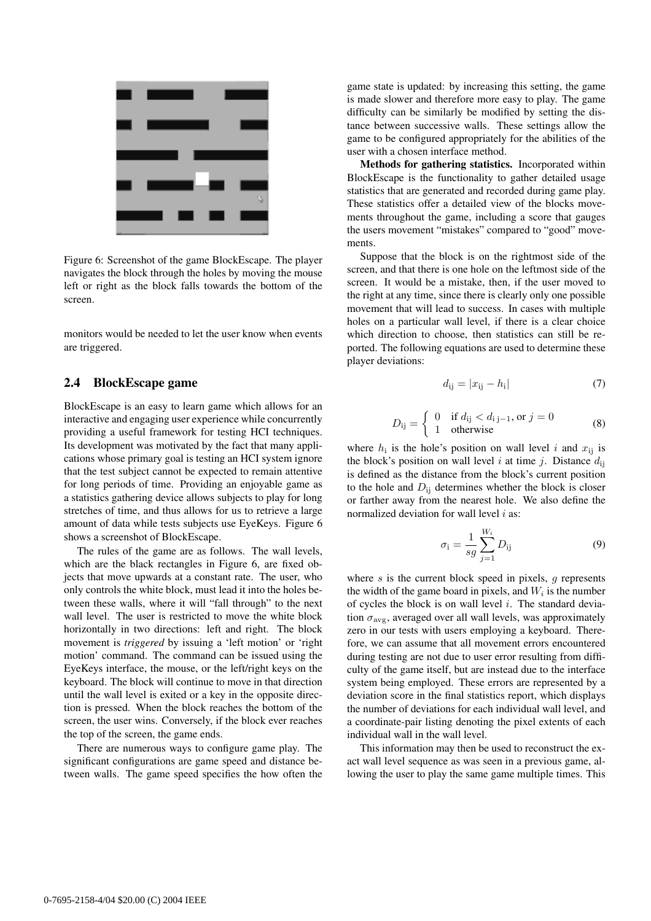

Figure 6: Screenshot of the game BlockEscape. The player navigates the block through the holes by moving the mouse left or right as the block falls towards the bottom of the screen.

monitors would be needed to let the user know when events are triggered.

#### **2.4 BlockEscape game**

BlockEscape is an easy to learn game which allows for an interactive and engaging user experience while concurrently providing a useful framework for testing HCI techniques. Its development was motivated by the fact that many applications whose primary goal is testing an HCI system ignore that the test subject cannot be expected to remain attentive for long periods of time. Providing an enjoyable game as a statistics gathering device allows subjects to play for long stretches of time, and thus allows for us to retrieve a large amount of data while tests subjects use EyeKeys. Figure 6 shows a screenshot of BlockEscape.

The rules of the game are as follows. The wall levels, which are the black rectangles in Figure 6, are fixed objects that move upwards at a constant rate. The user, who only controls the white block, must lead it into the holes between these walls, where it will "fall through" to the next wall level. The user is restricted to move the white block horizontally in two directions: left and right. The block movement is *triggered* by issuing a 'left motion' or 'right motion' command. The command can be issued using the EyeKeys interface, the mouse, or the left/right keys on the keyboard. The block will continue to move in that direction until the wall level is exited or a key in the opposite direction is pressed. When the block reaches the bottom of the screen, the user wins. Conversely, if the block ever reaches the top of the screen, the game ends.

There are numerous ways to configure game play. The significant configurations are game speed and distance between walls. The game speed specifies the how often the game state is updated: by increasing this setting, the game is made slower and therefore more easy to play. The game difficulty can be similarly be modified by setting the distance between successive walls. These settings allow the game to be configured appropriately for the abilities of the user with a chosen interface method.

**Methods for gathering statistics.** Incorporated within BlockEscape is the functionality to gather detailed usage statistics that are generated and recorded during game play. These statistics offer a detailed view of the blocks movements throughout the game, including a score that gauges the users movement "mistakes" compared to "good" movements.

Suppose that the block is on the rightmost side of the screen, and that there is one hole on the leftmost side of the screen. It would be a mistake, then, if the user moved to the right at any time, since there is clearly only one possible movement that will lead to success. In cases with multiple holes on a particular wall level, if there is a clear choice which direction to choose, then statistics can still be reported. The following equations are used to determine these player deviations:

$$
d_{ij} = |x_{ij} - h_i|
$$
 (7)

$$
D_{ij} = \begin{cases} 0 & \text{if } d_{ij} < d_{i,j-1}, \text{ or } j = 0\\ 1 & \text{otherwise} \end{cases}
$$
 (8)

where  $h_i$  is the hole's position on wall level i and  $x_{ij}$  is the block's position on wall level i at time j. Distance  $d_{ii}$ is defined as the distance from the block's current position to the hole and  $D_{ij}$  determines whether the block is closer or farther away from the nearest hole. We also define the normalized deviation for wall level  $i$  as:

$$
\sigma_{\rm i} = \frac{1}{sg} \sum_{j=1}^{W_i} D_{\rm ij} \tag{9}
$$

where  $s$  is the current block speed in pixels,  $g$  represents the width of the game board in pixels, and  $W_i$  is the number of cycles the block is on wall level  $i$ . The standard deviation  $\sigma_{\text{avg}}$ , averaged over all wall levels, was approximately zero in our tests with users employing a keyboard. Therefore, we can assume that all movement errors encountered during testing are not due to user error resulting from difficulty of the game itself, but are instead due to the interface system being employed. These errors are represented by a deviation score in the final statistics report, which displays the number of deviations for each individual wall level, and a coordinate-pair listing denoting the pixel extents of each individual wall in the wall level.

This information may then be used to reconstruct the exact wall level sequence as was seen in a previous game, allowing the user to play the same game multiple times. This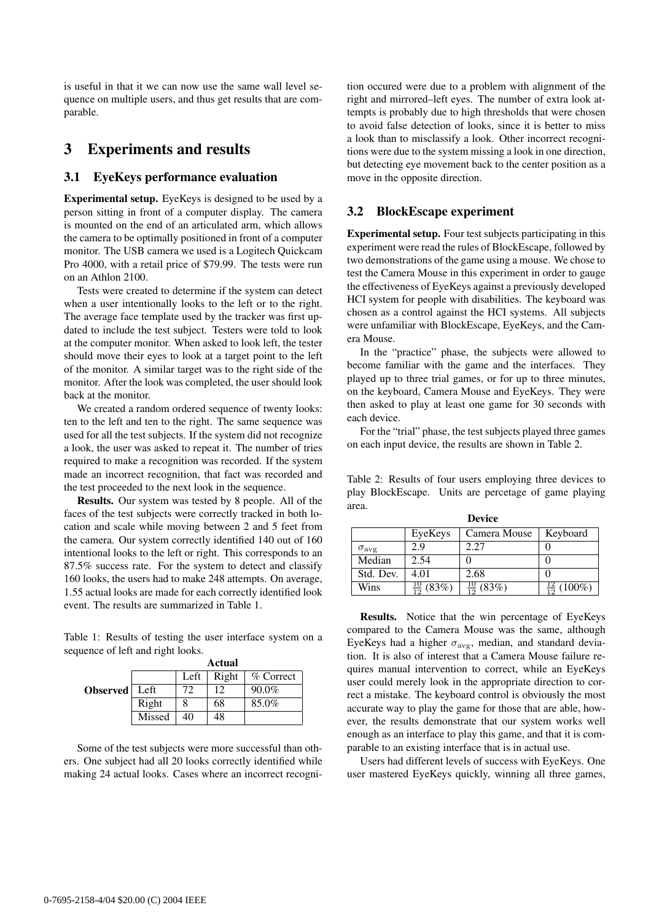is useful in that it we can now use the same wall level sequence on multiple users, and thus get results that are comparable.

### **3 Experiments and results**

### **3.1 EyeKeys performance evaluation**

**Experimental setup.** EyeKeys is designed to be used by a person sitting in front of a computer display. The camera is mounted on the end of an articulated arm, which allows the camera to be optimally positioned in front of a computer monitor. The USB camera we used is a Logitech Quickcam Pro 4000, with a retail price of \$79.99. The tests were run on an Athlon 2100.

Tests were created to determine if the system can detect when a user intentionally looks to the left or to the right. The average face template used by the tracker was first updated to include the test subject. Testers were told to look at the computer monitor. When asked to look left, the tester should move their eyes to look at a target point to the left of the monitor. A similar target was to the right side of the monitor. After the look was completed, the user should look back at the monitor.

We created a random ordered sequence of twenty looks: ten to the left and ten to the right. The same sequence was used for all the test subjects. If the system did not recognize a look, the user was asked to repeat it. The number of tries required to make a recognition was recorded. If the system made an incorrect recognition, that fact was recorded and the test proceeded to the next look in the sequence.

**Results.** Our system was tested by 8 people. All of the faces of the test subjects were correctly tracked in both location and scale while moving between 2 and 5 feet from the camera. Our system correctly identified 140 out of 160 intentional looks to the left or right. This corresponds to an 87.5% success rate. For the system to detect and classify 160 looks, the users had to make 248 attempts. On average, 1.55 actual looks are made for each correctly identified look event. The results are summarized in Table 1.

Table 1: Results of testing the user interface system on a sequence of left and right looks.

|                      | Actual |      |       |             |
|----------------------|--------|------|-------|-------------|
|                      |        | Left | Right | $%$ Correct |
| <b>Observed</b> Left |        | 72   | 12    | 90.0%       |
|                      | Right  |      | 68    | 85.0%       |
|                      | Missed | 40   | 48    |             |

Some of the test subjects were more successful than others. One subject had all 20 looks correctly identified while making 24 actual looks. Cases where an incorrect recognition occured were due to a problem with alignment of the right and mirrored–left eyes. The number of extra look attempts is probably due to high thresholds that were chosen to avoid false detection of looks, since it is better to miss a look than to misclassify a look. Other incorrect recognitions were due to the system missing a look in one direction, but detecting eye movement back to the center position as a move in the opposite direction.

### **3.2 BlockEscape experiment**

**Experimental setup.** Four test subjects participating in this experiment were read the rules of BlockEscape, followed by two demonstrations of the game using a mouse. We chose to test the Camera Mouse in this experiment in order to gauge the effectiveness of EyeKeys against a previously developed HCI system for people with disabilities. The keyboard was chosen as a control against the HCI systems. All subjects were unfamiliar with BlockEscape, EyeKeys, and the Camera Mouse.

In the "practice" phase, the subjects were allowed to become familiar with the game and the interfaces. They played up to three trial games, or for up to three minutes, on the keyboard, Camera Mouse and EyeKeys. They were then asked to play at least one game for 30 seconds with each device.

For the "trial" phase, the test subjects played three games on each input device, the results are shown in Table 2.

| <b>Device</b>      |         |              |           |  |  |  |
|--------------------|---------|--------------|-----------|--|--|--|
|                    | EyeKeys | Camera Mouse | Keyboard  |  |  |  |
| $\sigma_{\rm avg}$ | 2.9     | 2.27         |           |  |  |  |
| Median             | 2.54    |              |           |  |  |  |
| Std. Dev.          | 4.01    | 2.68         |           |  |  |  |
| Wins               | (83%)   | (83%)        | $(100\%)$ |  |  |  |
|                    |         |              |           |  |  |  |

Table 2: Results of four users employing three devices to play BlockEscape. Units are percetage of game playing area.

**Results.** Notice that the win percentage of EyeKeys compared to the Camera Mouse was the same, although EyeKeys had a higher  $\sigma_{\text{avg}}$ , median, and standard deviation. It is also of interest that a Camera Mouse failure requires manual intervention to correct, while an EyeKeys user could merely look in the appropriate direction to correct a mistake. The keyboard control is obviously the most accurate way to play the game for those that are able, however, the results demonstrate that our system works well enough as an interface to play this game, and that it is comparable to an existing interface that is in actual use.

Users had different levels of success with EyeKeys. One user mastered EyeKeys quickly, winning all three games,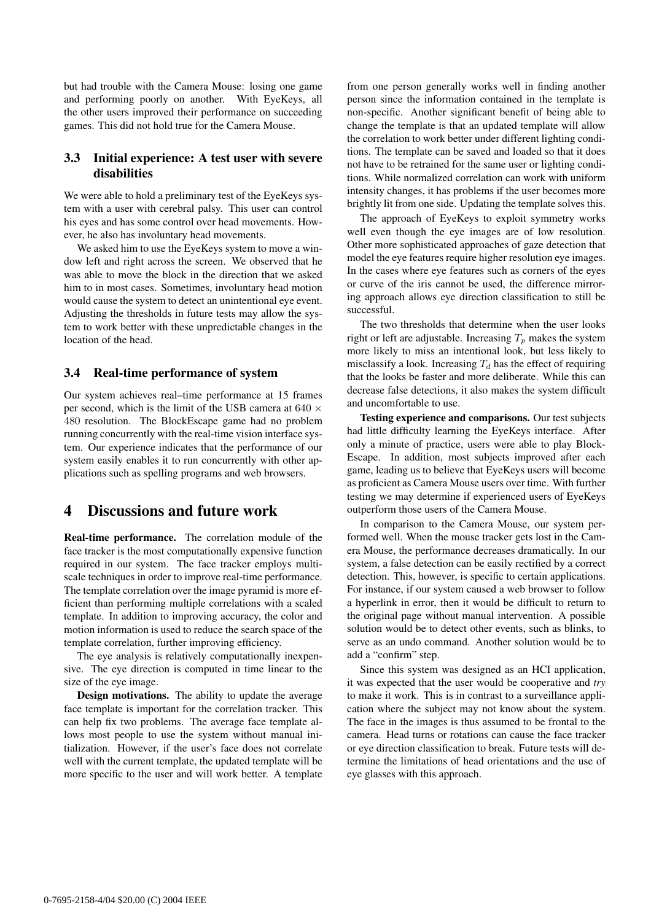but had trouble with the Camera Mouse: losing one game and performing poorly on another. With EyeKeys, all the other users improved their performance on succeeding games. This did not hold true for the Camera Mouse.

### **3.3 Initial experience: A test user with severe disabilities**

We were able to hold a preliminary test of the EyeKeys system with a user with cerebral palsy. This user can control his eyes and has some control over head movements. However, he also has involuntary head movements.

We asked him to use the EyeKeys system to move a window left and right across the screen. We observed that he was able to move the block in the direction that we asked him to in most cases. Sometimes, involuntary head motion would cause the system to detect an unintentional eye event. Adjusting the thresholds in future tests may allow the system to work better with these unpredictable changes in the location of the head.

### **3.4 Real-time performance of system**

Our system achieves real–time performance at 15 frames per second, which is the limit of the USB camera at  $640 \times$ 480 resolution. The BlockEscape game had no problem running concurrently with the real-time vision interface system. Our experience indicates that the performance of our system easily enables it to run concurrently with other applications such as spelling programs and web browsers.

### **4 Discussions and future work**

**Real-time performance.** The correlation module of the face tracker is the most computationally expensive function required in our system. The face tracker employs multiscale techniques in order to improve real-time performance. The template correlation over the image pyramid is more efficient than performing multiple correlations with a scaled template. In addition to improving accuracy, the color and motion information is used to reduce the search space of the template correlation, further improving efficiency.

The eye analysis is relatively computationally inexpensive. The eye direction is computed in time linear to the size of the eye image.

**Design motivations.** The ability to update the average face template is important for the correlation tracker. This can help fix two problems. The average face template allows most people to use the system without manual initialization. However, if the user's face does not correlate well with the current template, the updated template will be more specific to the user and will work better. A template

from one person generally works well in finding another person since the information contained in the template is non-specific. Another significant benefit of being able to change the template is that an updated template will allow the correlation to work better under different lighting conditions. The template can be saved and loaded so that it does not have to be retrained for the same user or lighting conditions. While normalized correlation can work with uniform intensity changes, it has problems if the user becomes more brightly lit from one side. Updating the template solves this.

The approach of EyeKeys to exploit symmetry works well even though the eye images are of low resolution. Other more sophisticated approaches of gaze detection that model the eye features require higher resolution eye images. In the cases where eye features such as corners of the eyes or curve of the iris cannot be used, the difference mirroring approach allows eye direction classification to still be successful.

The two thresholds that determine when the user looks right or left are adjustable. Increasing  $T_p$  makes the system more likely to miss an intentional look, but less likely to misclassify a look. Increasing  $T_d$  has the effect of requiring that the looks be faster and more deliberate. While this can decrease false detections, it also makes the system difficult and uncomfortable to use.

**Testing experience and comparisons.** Our test subjects had little difficulty learning the EyeKeys interface. After only a minute of practice, users were able to play Block-Escape. In addition, most subjects improved after each game, leading us to believe that EyeKeys users will become as proficient as Camera Mouse users over time. With further testing we may determine if experienced users of EyeKeys outperform those users of the Camera Mouse.

In comparison to the Camera Mouse, our system performed well. When the mouse tracker gets lost in the Camera Mouse, the performance decreases dramatically. In our system, a false detection can be easily rectified by a correct detection. This, however, is specific to certain applications. For instance, if our system caused a web browser to follow a hyperlink in error, then it would be difficult to return to the original page without manual intervention. A possible solution would be to detect other events, such as blinks, to serve as an undo command. Another solution would be to add a "confirm" step.

Since this system was designed as an HCI application, it was expected that the user would be cooperative and *try* to make it work. This is in contrast to a surveillance application where the subject may not know about the system. The face in the images is thus assumed to be frontal to the camera. Head turns or rotations can cause the face tracker or eye direction classification to break. Future tests will determine the limitations of head orientations and the use of eye glasses with this approach.